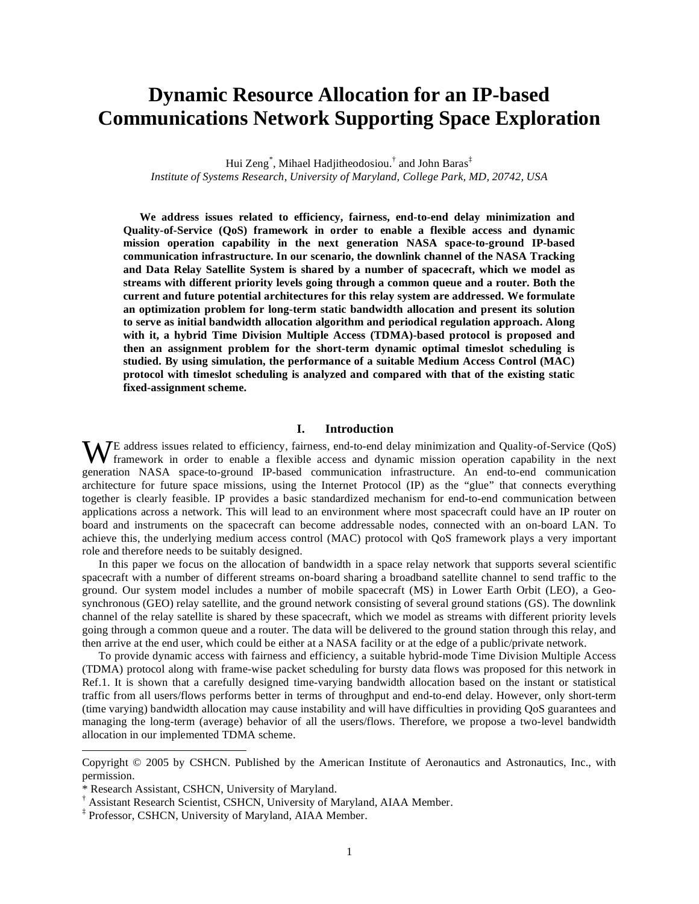# **Dynamic Resource Allocation for an IP-based Communications Network Supporting Space Exploration**

Hui Zeng\* , Mihael Hadjitheodosiou.† and John Baras‡ *Institute of Systems Research, University of Maryland, College Park, MD, 20742, USA* 

**We address issues related to efficiency, fairness, end-to-end delay minimization and Quality-of-Service (QoS) framework in order to enable a flexible access and dynamic mission operation capability in the next generation NASA space-to-ground IP-based communication infrastructure. In our scenario, the downlink channel of the NASA Tracking and Data Relay Satellite System is shared by a number of spacecraft, which we model as streams with different priority levels going through a common queue and a router. Both the current and future potential architectures for this relay system are addressed. We formulate an optimization problem for long-term static bandwidth allocation and present its solution to serve as initial bandwidth allocation algorithm and periodical regulation approach. Along with it, a hybrid Time Division Multiple Access (TDMA)-based protocol is proposed and then an assignment problem for the short-term dynamic optimal timeslot scheduling is studied. By using simulation, the performance of a suitable Medium Access Control (MAC) protocol with timeslot scheduling is analyzed and compared with that of the existing static fixed-assignment scheme.** 

# **I. Introduction**

We address issues related to efficiency, fairness, end-to-end delay minimization and Quality-of-Service (QoS) framework in order to enable a flexible access and dynamic mission operation capability in the next framework in order to enable a flexible access and dynamic mission operation capability in the next generation NASA space-to-ground IP-based communication infrastructure. An end-to-end communication architecture for future space missions, using the Internet Protocol (IP) as the "glue" that connects everything together is clearly feasible. IP provides a basic standardized mechanism for end-to-end communication between applications across a network. This will lead to an environment where most spacecraft could have an IP router on board and instruments on the spacecraft can become addressable nodes, connected with an on-board LAN. To achieve this, the underlying medium access control (MAC) protocol with QoS framework plays a very important role and therefore needs to be suitably designed.

In this paper we focus on the allocation of bandwidth in a space relay network that supports several scientific spacecraft with a number of different streams on-board sharing a broadband satellite channel to send traffic to the ground. Our system model includes a number of mobile spacecraft (MS) in Lower Earth Orbit (LEO), a Geosynchronous (GEO) relay satellite, and the ground network consisting of several ground stations (GS). The downlink channel of the relay satellite is shared by these spacecraft, which we model as streams with different priority levels going through a common queue and a router. The data will be delivered to the ground station through this relay, and then arrive at the end user, which could be either at a NASA facility or at the edge of a public/private network.

To provide dynamic access with fairness and efficiency, a suitable hybrid-mode Time Division Multiple Access (TDMA) protocol along with frame-wise packet scheduling for bursty data flows was proposed for this network in Ref.1. It is shown that a carefully designed time-varying bandwidth allocation based on the instant or statistical traffic from all users/flows performs better in terms of throughput and end-to-end delay. However, only short-term (time varying) bandwidth allocation may cause instability and will have difficulties in providing QoS guarantees and managing the long-term (average) behavior of all the users/flows. Therefore, we propose a two-level bandwidth allocation in our implemented TDMA scheme.

1

Copyright © 2005 by CSHCN. Published by the American Institute of Aeronautics and Astronautics, Inc., with permission.

<sup>\*</sup> Research Assistant, CSHCN, University of Maryland.

<sup>†</sup> Assistant Research Scientist, CSHCN, University of Maryland, AIAA Member.

<sup>‡</sup> Professor, CSHCN, University of Maryland, AIAA Member.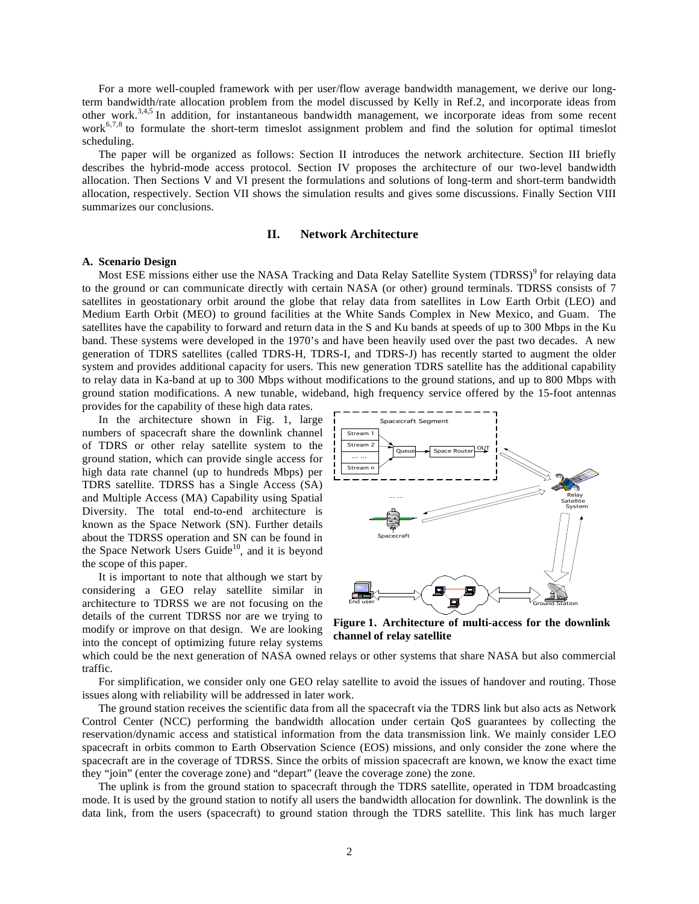For a more well-coupled framework with per user/flow average bandwidth management, we derive our longterm bandwidth/rate allocation problem from the model discussed by Kelly in Ref.2, and incorporate ideas from other work.<sup>3,4,5</sup> In addition, for instantaneous bandwidth management, we incorporate ideas from some recent work<sup>6,7,8</sup> to formulate the short-term timeslot assignment problem and find the solution for optimal timeslot scheduling.

The paper will be organized as follows: Section II introduces the network architecture. Section III briefly describes the hybrid-mode access protocol. Section IV proposes the architecture of our two-level bandwidth allocation. Then Sections V and VI present the formulations and solutions of long-term and short-term bandwidth allocation, respectively. Section VII shows the simulation results and gives some discussions. Finally Section VIII summarizes our conclusions.

## **II. Network Architecture**

## **A. Scenario Design**

Most ESE missions either use the NASA Tracking and Data Relay Satellite System (TDRSS)<sup>9</sup> for relaying data to the ground or can communicate directly with certain NASA (or other) ground terminals. TDRSS consists of 7 satellites in geostationary orbit around the globe that relay data from satellites in Low Earth Orbit (LEO) and Medium Earth Orbit (MEO) to ground facilities at the White Sands Complex in New Mexico, and Guam. The satellites have the capability to forward and return data in the S and Ku bands at speeds of up to 300 Mbps in the Ku band. These systems were developed in the 1970's and have been heavily used over the past two decades. A new generation of TDRS satellites (called TDRS-H, TDRS-I, and TDRS-J) has recently started to augment the older system and provides additional capacity for users. This new generation TDRS satellite has the additional capability to relay data in Ka-band at up to 300 Mbps without modifications to the ground stations, and up to 800 Mbps with ground station modifications. A new tunable, wideband, high frequency service offered by the 15-foot antennas provides for the capability of these high data rates.

In the architecture shown in Fig. 1, large numbers of spacecraft share the downlink channel of TDRS or other relay satellite system to the ground station, which can provide single access for high data rate channel (up to hundreds Mbps) per TDRS satellite. TDRSS has a Single Access (SA) and Multiple Access (MA) Capability using Spatial Diversity. The total end-to-end architecture is known as the Space Network (SN). Further details about the TDRSS operation and SN can be found in the Space Network Users Guide $10$ , and it is beyond the scope of this paper.

It is important to note that although we start by considering a GEO relay satellite similar in architecture to TDRSS we are not focusing on the details of the current TDRSS nor are we trying to modify or improve on that design. We are looking into the concept of optimizing future relay systems



**Figure 1. Architecture of multi-access for the downlink channel of relay satellite** 

which could be the next generation of NASA owned relays or other systems that share NASA but also commercial traffic.

For simplification, we consider only one GEO relay satellite to avoid the issues of handover and routing. Those issues along with reliability will be addressed in later work.

The ground station receives the scientific data from all the spacecraft via the TDRS link but also acts as Network Control Center (NCC) performing the bandwidth allocation under certain QoS guarantees by collecting the reservation/dynamic access and statistical information from the data transmission link. We mainly consider LEO spacecraft in orbits common to Earth Observation Science (EOS) missions, and only consider the zone where the spacecraft are in the coverage of TDRSS. Since the orbits of mission spacecraft are known, we know the exact time they "join" (enter the coverage zone) and "depart" (leave the coverage zone) the zone.

The uplink is from the ground station to spacecraft through the TDRS satellite, operated in TDM broadcasting mode. It is used by the ground station to notify all users the bandwidth allocation for downlink. The downlink is the data link, from the users (spacecraft) to ground station through the TDRS satellite. This link has much larger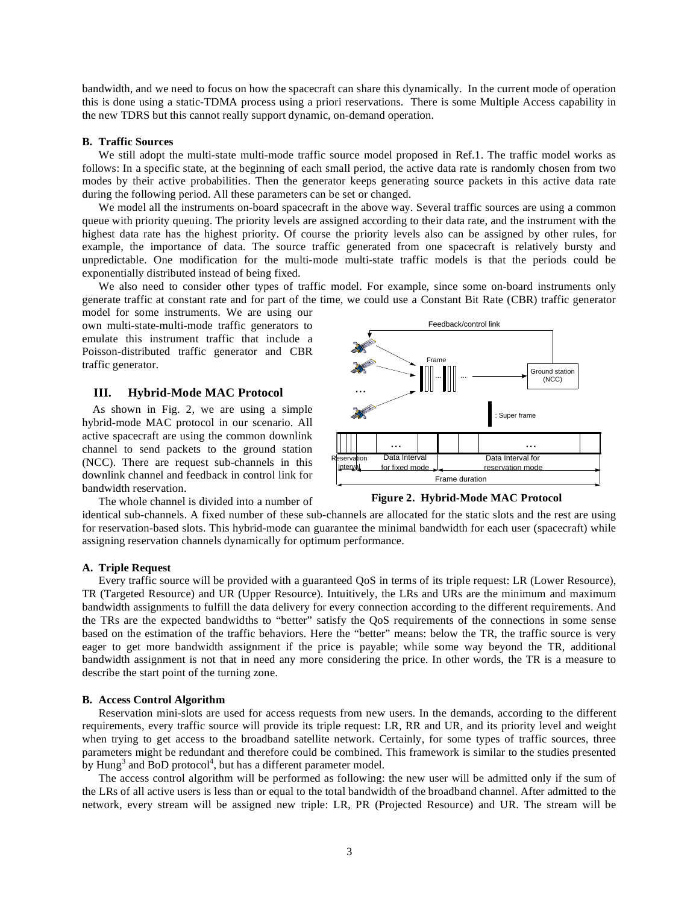bandwidth, and we need to focus on how the spacecraft can share this dynamically. In the current mode of operation this is done using a static-TDMA process using a priori reservations. There is some Multiple Access capability in the new TDRS but this cannot really support dynamic, on-demand operation.

## **B. Traffic Sources**

We still adopt the multi-state multi-mode traffic source model proposed in Ref.1. The traffic model works as follows: In a specific state, at the beginning of each small period, the active data rate is randomly chosen from two modes by their active probabilities. Then the generator keeps generating source packets in this active data rate during the following period. All these parameters can be set or changed.

We model all the instruments on-board spacecraft in the above way. Several traffic sources are using a common queue with priority queuing. The priority levels are assigned according to their data rate, and the instrument with the highest data rate has the highest priority. Of course the priority levels also can be assigned by other rules, for example, the importance of data. The source traffic generated from one spacecraft is relatively bursty and unpredictable. One modification for the multi-mode multi-state traffic models is that the periods could be exponentially distributed instead of being fixed.

We also need to consider other types of traffic model. For example, since some on-board instruments only generate traffic at constant rate and for part of the time, we could use a Constant Bit Rate (CBR) traffic generator

model for some instruments. We are using our own multi-state-multi-mode traffic generators to emulate this instrument traffic that include a Poisson-distributed traffic generator and CBR traffic generator.

# **III. Hybrid-Mode MAC Protocol**

As shown in Fig. 2, we are using a simple hybrid-mode MAC protocol in our scenario. All active spacecraft are using the common downlink channel to send packets to the ground station (NCC). There are request sub-channels in this downlink channel and feedback in control link for bandwidth reservation.

The whole channel is divided into a number of



**Figure 2. Hybrid-Mode MAC Protocol** 

identical sub-channels. A fixed number of these sub-channels are allocated for the static slots and the rest are using for reservation-based slots. This hybrid-mode can guarantee the minimal bandwidth for each user (spacecraft) while assigning reservation channels dynamically for optimum performance.

# **A. Triple Request**

Every traffic source will be provided with a guaranteed QoS in terms of its triple request: LR (Lower Resource), TR (Targeted Resource) and UR (Upper Resource). Intuitively, the LRs and URs are the minimum and maximum bandwidth assignments to fulfill the data delivery for every connection according to the different requirements. And the TRs are the expected bandwidths to "better" satisfy the QoS requirements of the connections in some sense based on the estimation of the traffic behaviors. Here the "better" means: below the TR, the traffic source is very eager to get more bandwidth assignment if the price is payable; while some way beyond the TR, additional bandwidth assignment is not that in need any more considering the price. In other words, the TR is a measure to describe the start point of the turning zone.

## **B. Access Control Algorithm**

Reservation mini-slots are used for access requests from new users. In the demands, according to the different requirements, every traffic source will provide its triple request: LR, RR and UR, and its priority level and weight when trying to get access to the broadband satellite network. Certainly, for some types of traffic sources, three parameters might be redundant and therefore could be combined. This framework is similar to the studies presented by Hung<sup>3</sup> and BoD protocol<sup>4</sup>, but has a different parameter model.

The access control algorithm will be performed as following: the new user will be admitted only if the sum of the LRs of all active users is less than or equal to the total bandwidth of the broadband channel. After admitted to the network, every stream will be assigned new triple: LR, PR (Projected Resource) and UR. The stream will be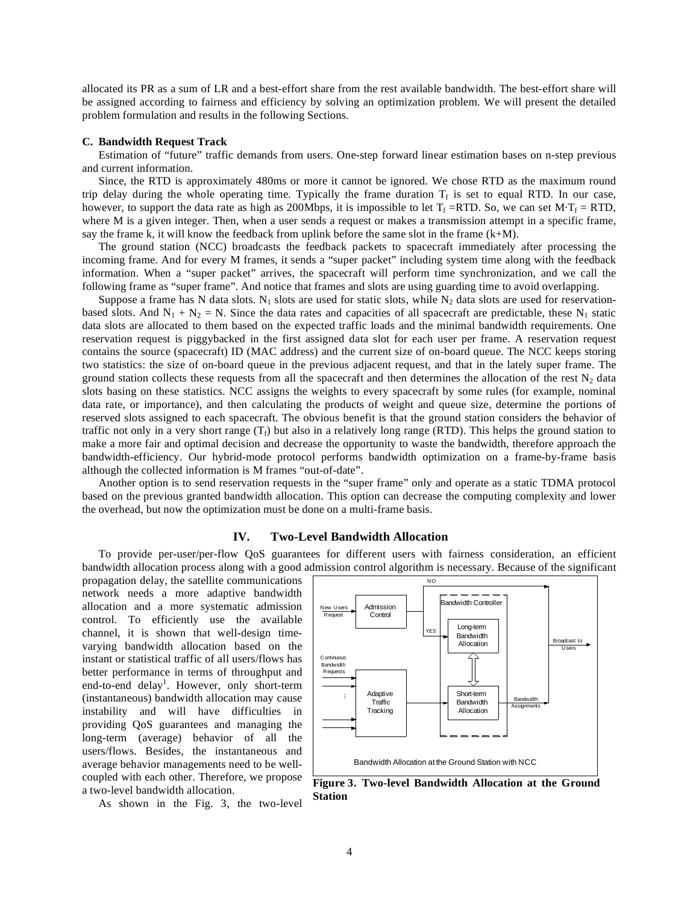allocated its PR as a sum of LR and a best-effort share from the rest available bandwidth. The best-effort share will be assigned according to fairness and efficiency by solving an optimization problem. We will present the detailed problem formulation and results in the following Sections.

## **C. Bandwidth Request Track**

Estimation of "future" traffic demands from users. One-step forward linear estimation bases on n-step previous and current information.

Since, the RTD is approximately 480ms or more it cannot be ignored. We chose RTD as the maximum round trip delay during the whole operating time. Typically the frame duration  $T_f$  is set to equal RTD. In our case, however, to support the data rate as high as 200Mbps, it is impossible to let  $T_f = RTD$ . So, we can set M·T<sub>f</sub> = RTD, where M is a given integer. Then, when a user sends a request or makes a transmission attempt in a specific frame, say the frame k, it will know the feedback from uplink before the same slot in the frame  $(k+M)$ .

The ground station (NCC) broadcasts the feedback packets to spacecraft immediately after processing the incoming frame. And for every M frames, it sends a "super packet" including system time along with the feedback information. When a "super packet" arrives, the spacecraft will perform time synchronization, and we call the following frame as "super frame". And notice that frames and slots are using guarding time to avoid overlapping.

Suppose a frame has N data slots. N<sub>1</sub> slots are used for static slots, while N<sub>2</sub> data slots are used for reservationbased slots. And  $N_1 + N_2 = N$ . Since the data rates and capacities of all spacecraft are predictable, these  $N_1$  static data slots are allocated to them based on the expected traffic loads and the minimal bandwidth requirements. One reservation request is piggybacked in the first assigned data slot for each user per frame. A reservation request contains the source (spacecraft) ID (MAC address) and the current size of on-board queue. The NCC keeps storing two statistics: the size of on-board queue in the previous adjacent request, and that in the lately super frame. The ground station collects these requests from all the spacecraft and then determines the allocation of the rest  $N_2$  data slots basing on these statistics. NCC assigns the weights to every spacecraft by some rules (for example, nominal data rate, or importance), and then calculating the products of weight and queue size, determine the portions of reserved slots assigned to each spacecraft. The obvious benefit is that the ground station considers the behavior of traffic not only in a very short range  $(T_f)$  but also in a relatively long range (RTD). This helps the ground station to make a more fair and optimal decision and decrease the opportunity to waste the bandwidth, therefore approach the bandwidth-efficiency. Our hybrid-mode protocol performs bandwidth optimization on a frame-by-frame basis although the collected information is M frames "out-of-date".

Another option is to send reservation requests in the "super frame" only and operate as a static TDMA protocol based on the previous granted bandwidth allocation. This option can decrease the computing complexity and lower the overhead, but now the optimization must be done on a multi-frame basis.

### **IV. Two-Level Bandwidth Allocation**

To provide per-user/per-flow QoS guarantees for different users with fairness consideration, an efficient bandwidth allocation process along with a good admission control algorithm is necessary. Because of the significant

propagation delay, the satellite communications network needs a more adaptive bandwidth allocation and a more systematic admission control. To efficiently use the available channel, it is shown that well-design timevarying bandwidth allocation based on the instant or statistical traffic of all users/flows has better performance in terms of throughput and end-to-end delay<sup>1</sup>. However, only short-term (instantaneous) bandwidth allocation may cause instability and will have difficulties in providing QoS guarantees and managing the long-term (average) behavior of all the users/flows. Besides, the instantaneous and average behavior managements need to be wellcoupled with each other. Therefore, we propose a two-level bandwidth allocation.

As shown in the Fig. 3, the two-level



**Figure 3. Two-level Bandwidth Allocation at the Ground Station**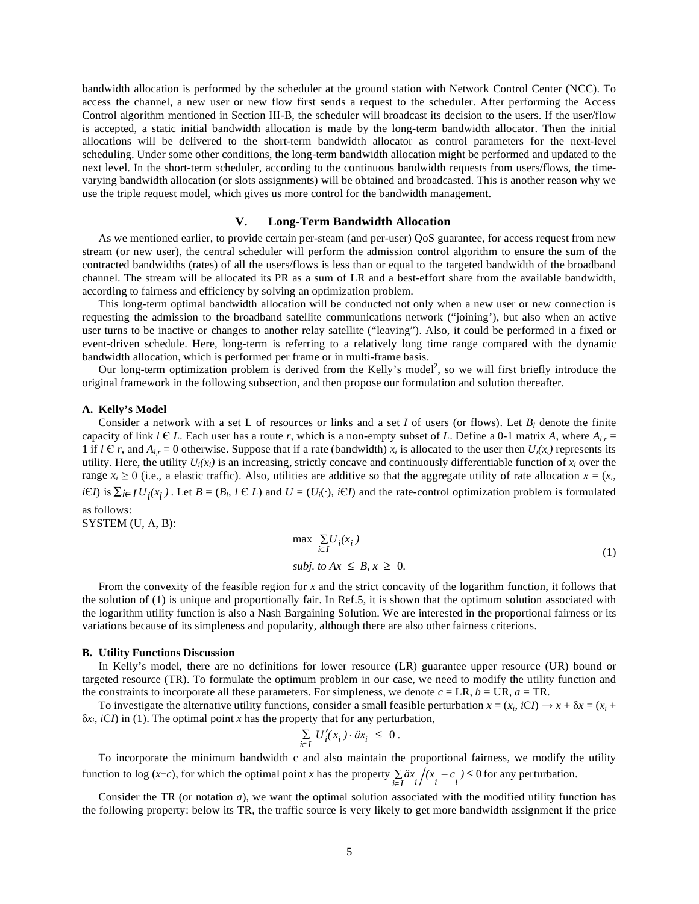bandwidth allocation is performed by the scheduler at the ground station with Network Control Center (NCC). To access the channel, a new user or new flow first sends a request to the scheduler. After performing the Access Control algorithm mentioned in Section III-B, the scheduler will broadcast its decision to the users. If the user/flow is accepted, a static initial bandwidth allocation is made by the long-term bandwidth allocator. Then the initial allocations will be delivered to the short-term bandwidth allocator as control parameters for the next-level scheduling. Under some other conditions, the long-term bandwidth allocation might be performed and updated to the next level. In the short-term scheduler, according to the continuous bandwidth requests from users/flows, the timevarying bandwidth allocation (or slots assignments) will be obtained and broadcasted. This is another reason why we use the triple request model, which gives us more control for the bandwidth management.

## **V. Long-Term Bandwidth Allocation**

As we mentioned earlier, to provide certain per-steam (and per-user) QoS guarantee, for access request from new stream (or new user), the central scheduler will perform the admission control algorithm to ensure the sum of the contracted bandwidths (rates) of all the users/flows is less than or equal to the targeted bandwidth of the broadband channel. The stream will be allocated its PR as a sum of LR and a best-effort share from the available bandwidth, according to fairness and efficiency by solving an optimization problem.

This long-term optimal bandwidth allocation will be conducted not only when a new user or new connection is requesting the admission to the broadband satellite communications network ("joining'), but also when an active user turns to be inactive or changes to another relay satellite ("leaving"). Also, it could be performed in a fixed or event-driven schedule. Here, long-term is referring to a relatively long time range compared with the dynamic bandwidth allocation, which is performed per frame or in multi-frame basis.

Our long-term optimization problem is derived from the Kelly's model<sup>2</sup>, so we will first briefly introduce the original framework in the following subsection, and then propose our formulation and solution thereafter.

## **A. Kelly's Model**

Consider a network with a set L of resources or links and a set I of users (or flows). Let  $B_l$  denote the finite capacity of link  $l \in L$ . Each user has a route r, which is a non-empty subset of L. Define a 0-1 matrix A, where  $A_{l,r}$  = 1 if  $l \in r$ , and  $A_{l,r} = 0$  otherwise. Suppose that if a rate (bandwidth)  $x_i$  is allocated to the user then  $U_i(x_i)$  represents its utility. Here, the utility  $U_i(x_i)$  is an increasing, strictly concave and continuously differentiable function of  $x_i$  over the range  $x_i \ge 0$  (i.e., a elastic traffic). Also, utilities are additive so that the aggregate utility of rate allocation  $x = (x_i)$  $i\in I$ ) is  $\sum_{i\in I} U_i(x_i)$ . Let  $B = (B_i, l \in L)$  and  $U = (U_i(\cdot), i\in I)$  and the rate-control optimization problem is formulated as follows:

SYSTEM (U, A, B):

$$
\max_{i \in I} \sum_{i \in I} U_i(x_i)
$$
  
 
$$
subj. \text{ to } Ax \leq B, x \geq 0.
$$
 (1)

From the convexity of the feasible region for *x* and the strict concavity of the logarithm function, it follows that the solution of (1) is unique and proportionally fair. In Ref.5, it is shown that the optimum solution associated with the logarithm utility function is also a Nash Bargaining Solution. We are interested in the proportional fairness or its variations because of its simpleness and popularity, although there are also other fairness criterions.

#### **B. Utility Functions Discussion**

In Kelly's model, there are no definitions for lower resource (LR) guarantee upper resource (UR) bound or targeted resource (TR). To formulate the optimum problem in our case, we need to modify the utility function and the constraints to incorporate all these parameters. For simpleness, we denote  $c = \text{LR}$ ,  $b = \text{UR}$ ,  $a = \text{TR}$ .

To investigate the alternative utility functions, consider a small feasible perturbation  $x = (x_i, i \in I) \rightarrow x + \delta x = (x_i +$  $\delta x_i$ , *i*C*I*) in (1). The optimal point *x* has the property that for any perturbation,

$$
\mathop{\Sigma}\limits_{i\in I}\, U'_i(x_i\,)\!\cdot \ddot{a} x_i\ \leq\ 0\,.
$$

To incorporate the minimum bandwidth c and also maintain the proportional fairness, we modify the utility function to log (*x*-*c*), for which the optimal point *x* has the property  $\sum_{i \in I} \frac{\partial x_i}{\partial x_i} / (x_i - c_i) \leq 0$  for any perturbation.

Consider the TR (or notation *a*), we want the optimal solution associated with the modified utility function has the following property: below its TR, the traffic source is very likely to get more bandwidth assignment if the price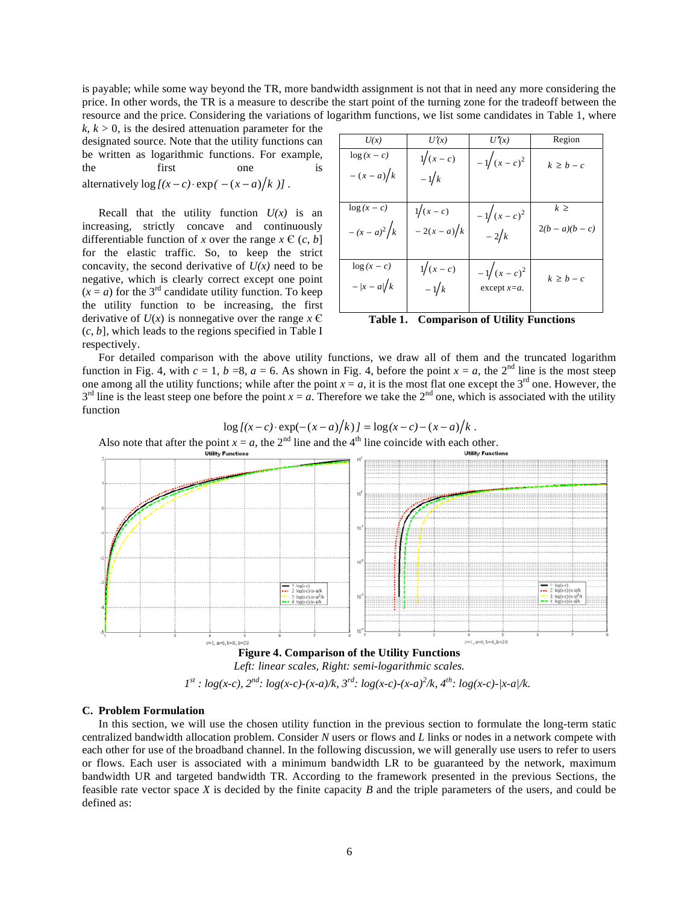is payable; while some way beyond the TR, more bandwidth assignment is not that in need any more considering the price. In other words, the TR is a measure to describe the start point of the turning zone for the tradeoff between the resource and the price. Considering the variations of logarithm functions, we list some candidates in Table 1, where

 $k, k > 0$ , is the desired attenuation parameter for the designated source. Note that the utility functions can be written as logarithmic functions. For example, the first one is

alternatively  $\log[(x-c) \cdot \exp(-(x-a)/k)]$ .

Recall that the utility function  $U(x)$  is an increasing, strictly concave and continuously differentiable function of *x* over the range  $x \in (c, b]$ for the elastic traffic. So, to keep the strict concavity, the second derivative of  $U(x)$  need to be negative, which is clearly correct except one point  $(x = a)$  for the 3<sup>rd</sup> candidate utility function. To keep the utility function to be increasing, the first derivative of  $U(x)$  is nonnegative over the range  $x \in \mathbb{C}$ (*c*, *b*], which leads to the regions specified in Table I respectively.

| U(x)                        | U'(x)               | U''(x)                         | Region            |
|-----------------------------|---------------------|--------------------------------|-------------------|
| $\log(x - c)$               | $1/(x-c)$           | $-1/(x-c)^2$                   | $k \geq b - c$    |
| $-(x-a)/k$                  | $-1/k$              |                                |                   |
| $\log(x - c)$               | $1/(x-c)$           | $-1/(x-c)^2$                   | $k \geq$          |
| $-(x-a)^2/k$                | $-2(x-a)/k$         | $-2/k$                         | $2(b - a)(b - c)$ |
| $\log(x - c)$<br>$- x-a /k$ | $1/(x-c)$<br>$-1/k$ | $-1/(x-c)^2$<br>except $x=a$ . | $k \geq b - c$    |

**Table 1. Comparison of Utility Functions** 

For detailed comparison with the above utility functions, we draw all of them and the truncated logarithm function in Fig. 4, with  $c = 1$ ,  $b = 8$ ,  $a = 6$ . As shown in Fig. 4, before the point  $x = a$ , the 2<sup>nd</sup> line is the most steep one among all the utility functions; while after the point  $x = a$ , it is the most flat one except the 3<sup>rd</sup> one. However, the  $3<sup>rd</sup>$  line is the least steep one before the point  $x = a$ . Therefore we take the  $2<sup>nd</sup>$  one, which is associated with the utility function

$$
\log[(x-c)\cdot \exp(-(x-a)/k)]=\log(x-c)-(x-a)/k.
$$

Also note that after the point  $x = a$ , the 2<sup>nd</sup> line and the 4<sup>th</sup> line coincide with each other.



 $1^{st}$  :  $log(x-c)$ ,  $2^{nd}$ :  $log(x-c)-(x-a)/k$ ,  $3^{rd}$ :  $log(x-c)-(x-a)^{2}/k$ ,  $4^{th}$ :  $log(x-c)-|x-a|/k$ .

## **C. Problem Formulation**

In this section, we will use the chosen utility function in the previous section to formulate the long-term static centralized bandwidth allocation problem. Consider *N* users or flows and *L* links or nodes in a network compete with each other for use of the broadband channel. In the following discussion, we will generally use users to refer to users or flows. Each user is associated with a minimum bandwidth LR to be guaranteed by the network, maximum bandwidth UR and targeted bandwidth TR. According to the framework presented in the previous Sections, the feasible rate vector space *X* is decided by the finite capacity *B* and the triple parameters of the users, and could be defined as: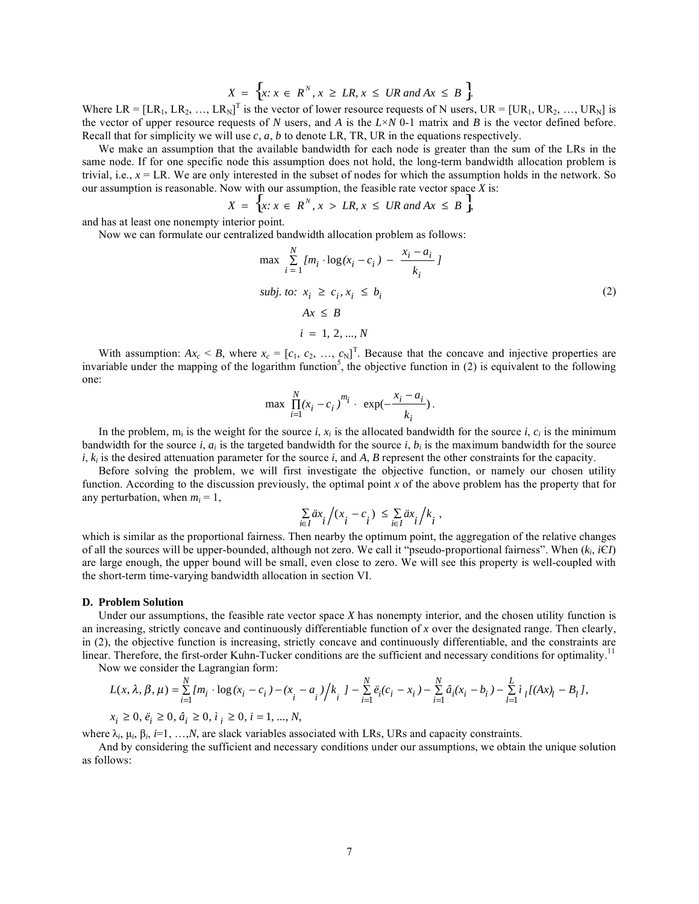$$
X = \left\{ x : x \in R^N, x \ge LR, x \le UR \text{ and } Ax \le B \right\}.
$$

Where  $LR = [LR_1, LR_2, ..., LR_N]^T$  is the vector of lower resource requests of N users,  $UR = [UR_1, UR_2, ..., UR_N]$  is the vector of upper resource requests of N users, and A is the  $L \times N$  0-1 matrix and B is the vector defined before. Recall that for simplicity we will use *c*, *a*, *b* to denote LR, TR, UR in the equations respectively.

We make an assumption that the available bandwidth for each node is greater than the sum of the LRs in the same node. If for one specific node this assumption does not hold, the long-term bandwidth allocation problem is trivial, i.e., *x* = LR. We are only interested in the subset of nodes for which the assumption holds in the network. So our assumption is reasonable. Now with our assumption, the feasible rate vector space *X* is:

$$
X = \left\{ x : x \in \mathbb{R}^N, x > LR, x \leq UR \text{ and } Ax \leq B \right\}
$$

and has at least one nonempty interior point.

Now we can formulate our centralized bandwidth allocation problem as follows:

$$
\max \sum_{i=1}^{N} [m_i \cdot \log(x_i - c_i) - \frac{x_i - a_i}{k_i}]
$$
  
\n*subj. to:*  $x_i \ge c_i, x_i \le b_i$   
\n $Ax \le B$   
\n $i = 1, 2, ..., N$  (2)

With assumption:  $Ax_c < B$ , where  $x_c = [c_1, c_2, ..., c_N]^T$ . Because that the concave and injective properties are invariable under the mapping of the logarithm function<sup>5</sup>, the objective function in (2) is equivalent to the following one:

$$
\max \ \prod_{i=1}^{N} (x_i - c_i)^{m_i} \cdot \ \exp(-\frac{x_i - a_i}{k_i}).
$$

In the problem,  $m_i$  is the weight for the source  $i$ ,  $x_i$  is the allocated bandwidth for the source  $i$ ,  $c_i$  is the minimum bandwidth for the source *i*,  $a_i$  is the targeted bandwidth for the source *i*,  $b_i$  is the maximum bandwidth for the source  $i, k_i$  is the desired attenuation parameter for the source  $i$ , and  $A, B$  represent the other constraints for the capacity.

Before solving the problem, we will first investigate the objective function, or namely our chosen utility function. According to the discussion previously, the optimal point *x* of the above problem has the property that for any perturbation, when  $m_i = 1$ ,

$$
\sum_{i\in I}\ddot{a}x_i\Big/(x_i-c_i)\leq \sum_{i\in I}\ddot{a}x_i\Big/k_i\;,
$$

which is similar as the proportional fairness. Then nearby the optimum point, the aggregation of the relative changes of all the sources will be upper-bounded, although not zero. We call it "pseudo-proportional fairness". When  $(k_i, i\in I)$ are large enough, the upper bound will be small, even close to zero. We will see this property is well-coupled with the short-term time-varying bandwidth allocation in section VI.

#### **D. Problem Solution**

Under our assumptions, the feasible rate vector space *X* has nonempty interior, and the chosen utility function is an increasing, strictly concave and continuously differentiable function of *x* over the designated range. Then clearly, in (2), the objective function is increasing, strictly concave and continuously differentiable, and the constraints are linear. Therefore, the first-order Kuhn-Tucker conditions are the sufficient and necessary conditions for optimality.<sup>11</sup>

Now we consider the Lagrangian form:

$$
L(x, \lambda, \beta, \mu) = \sum_{i=1}^{N} [m_i \cdot \log(x_i - c_i) - (x_i - a_i)]k_i \ I - \sum_{i=1}^{N} e_i (c_i - x_i) - \sum_{i=1}^{N} \hat{a}_i (x_i - b_i) - \sum_{l=1}^{L} \hat{i}_l [(Ax_l - B_l],
$$

*N*

*N*

$$
x_i \geq 0, \, \ddot{e}_i \geq 0, \, \hat{a}_i \geq 0, \, \dot{\imath}_i \geq 0, \, i = 1, \, ..., \, N,
$$

where  $\lambda_i$ ,  $\mu_i$ ,  $\beta_i$ ,  $i=1, ..., N$ , are slack variables associated with LRs, URs and capacity constraints.

And by considering the sufficient and necessary conditions under our assumptions, we obtain the unique solution as follows: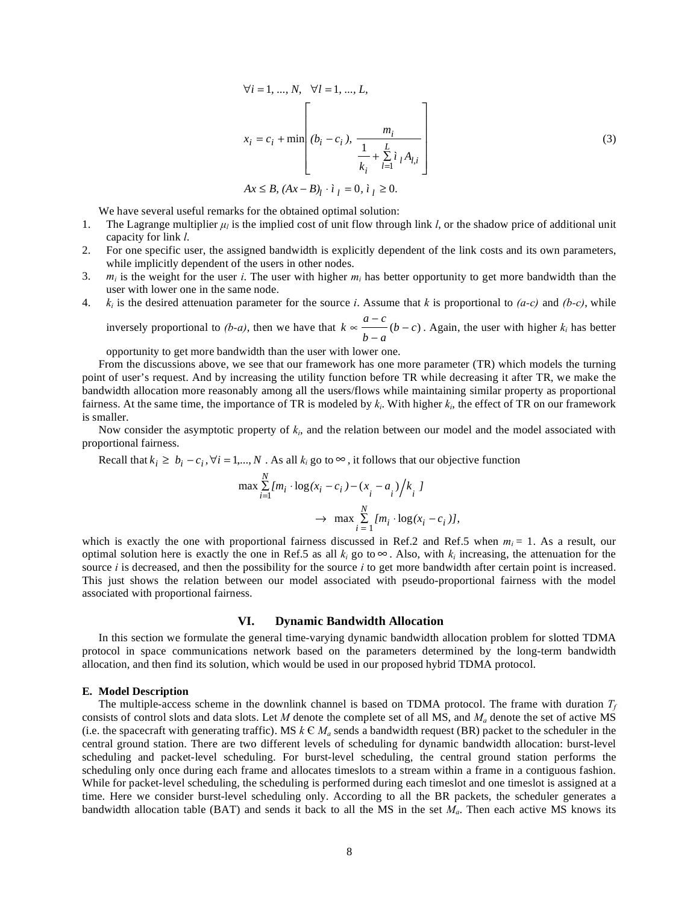$$
\forall i = 1, ..., N, \quad \forall l = 1, ..., L,
$$
  

$$
x_i = c_i + \min \left[ (b_i - c_i), \frac{m_i}{\frac{1}{k_i} + \sum_{l=1}^{L} i_l A_{l,i}} \right]
$$
  

$$
Ax \le B, (Ax - B)_l \cdot i_l = 0, i_l \ge 0.
$$
  
(3)

We have several useful remarks for the obtained optimal solution:

- 1. The Lagrange multiplier  $\mu_l$  is the implied cost of unit flow through link *l*, or the shadow price of additional unit capacity for link *l*.
- 2. For one specific user, the assigned bandwidth is explicitly dependent of the link costs and its own parameters, while implicitly dependent of the users in other nodes.
- 3.  $m_i$  is the weight for the user *i*. The user with higher  $m_i$  has better opportunity to get more bandwidth than the user with lower one in the same node.
- 4. *k<sub>i</sub>* is the desired attenuation parameter for the source *i*. Assume that *k* is proportional to  $(a-c)$  and  $(b-c)$ , while

inversely proportional to *(b-a)*, then we have that  $k \propto$   $\frac{d^2y}{dx^2}$  (*b - c*)  $k \propto \frac{a-c}{b-a} (b-c)$ . Again, the user with higher  $k_i$  has better

opportunity to get more bandwidth than the user with lower one.

From the discussions above, we see that our framework has one more parameter (TR) which models the turning point of user's request. And by increasing the utility function before TR while decreasing it after TR, we make the bandwidth allocation more reasonably among all the users/flows while maintaining similar property as proportional fairness. At the same time, the importance of TR is modeled by *ki*. With higher *ki*, the effect of TR on our framework is smaller.

Now consider the asymptotic property of *ki*, and the relation between our model and the model associated with proportional fairness.

Recall that  $k_i \ge b_i - c_i$ ,  $\forall i = 1,..., N$ . As all  $k_i$  go to  $\infty$ , it follows that our objective function

$$
\max \sum_{i=1}^{N} [m_i \cdot \log(x_i - c_i) - (x_i - a_i) / k_i]
$$
  

$$
\rightarrow \max \sum_{i=1}^{N} [m_i \cdot \log(x_i - c_i)],
$$

which is exactly the one with proportional fairness discussed in Ref.2 and Ref.5 when  $m_i = 1$ . As a result, our optimal solution here is exactly the one in Ref.5 as all  $k_i$  go to  $\infty$ . Also, with  $k_i$  increasing, the attenuation for the source *i* is decreased, and then the possibility for the source *i* to get more bandwidth after certain point is increased. This just shows the relation between our model associated with pseudo-proportional fairness with the model associated with proportional fairness.

## **VI. Dynamic Bandwidth Allocation**

In this section we formulate the general time-varying dynamic bandwidth allocation problem for slotted TDMA protocol in space communications network based on the parameters determined by the long-term bandwidth allocation, and then find its solution, which would be used in our proposed hybrid TDMA protocol.

#### **E. Model Description**

The multiple-access scheme in the downlink channel is based on TDMA protocol. The frame with duration  $T_f$ consists of control slots and data slots. Let *M* denote the complete set of all MS, and  $M_a$  denote the set of active MS (i.e. the spacecraft with generating traffic). MS  $k \in M_a$  sends a bandwidth request (BR) packet to the scheduler in the central ground station. There are two different levels of scheduling for dynamic bandwidth allocation: burst-level scheduling and packet-level scheduling. For burst-level scheduling, the central ground station performs the scheduling only once during each frame and allocates timeslots to a stream within a frame in a contiguous fashion. While for packet-level scheduling, the scheduling is performed during each timeslot and one timeslot is assigned at a time. Here we consider burst-level scheduling only. According to all the BR packets, the scheduler generates a bandwidth allocation table (BAT) and sends it back to all the MS in the set *Ma*. Then each active MS knows its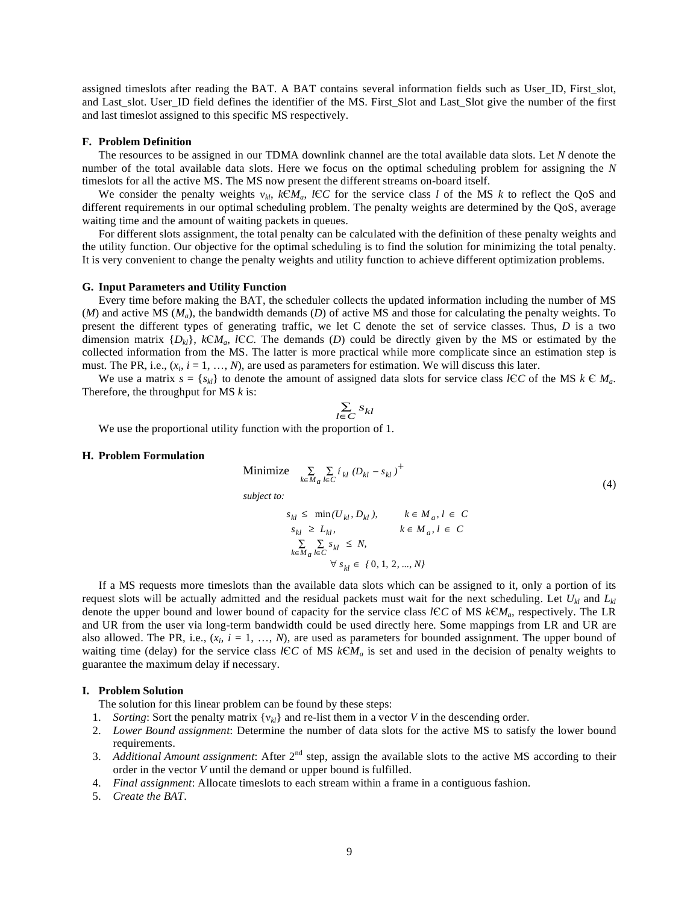assigned timeslots after reading the BAT. A BAT contains several information fields such as User\_ID, First\_slot, and Last slot. User ID field defines the identifier of the MS. First Slot and Last Slot give the number of the first and last timeslot assigned to this specific MS respectively.

#### **F. Problem Definition**

The resources to be assigned in our TDMA downlink channel are the total available data slots. Let *N* denote the number of the total available data slots. Here we focus on the optimal scheduling problem for assigning the *N* timeslots for all the active MS. The MS now present the different streams on-board itself.

We consider the penalty weights  $v_{kl}$ ,  $k \in M_a$ , *lCC* for the service class *l* of the MS *k* to reflect the QoS and different requirements in our optimal scheduling problem. The penalty weights are determined by the QoS, average waiting time and the amount of waiting packets in queues.

For different slots assignment, the total penalty can be calculated with the definition of these penalty weights and the utility function. Our objective for the optimal scheduling is to find the solution for minimizing the total penalty. It is very convenient to change the penalty weights and utility function to achieve different optimization problems.

## **G. Input Parameters and Utility Function**

Every time before making the BAT, the scheduler collects the updated information including the number of MS (*M*) and active MS (*Ma*), the bandwidth demands (*D*) of active MS and those for calculating the penalty weights. To present the different types of generating traffic, we let C denote the set of service classes. Thus, *D* is a two dimension matrix  $\{D_{kl}\}\$ ,  $k\in M_a$ ,  $l\in\mathbb{C}$ . The demands  $(D)$  could be directly given by the MS or estimated by the collected information from the MS. The latter is more practical while more complicate since an estimation step is must. The PR, i.e.,  $(x_i, i = 1, ..., N)$ , are used as parameters for estimation. We will discuss this later.

We use a matrix  $s = \{s_{kl}\}\$ to denote the amount of assigned data slots for service class *lCC* of the MS  $k \in M_a$ . Therefore, the throughput for MS *k* is:

$$
\sum_{l \in C} s_{kl}
$$

We use the proportional utility function with the proportion of 1.

## **H. Problem Formulation**

Minimize 
$$
\sum_{k \in M_d} \sum_{l \in C} i_{kl} (D_{kl} - s_{kl})^+
$$
  
\nsubject to:  
\n
$$
s_{kl} \le \min(U_{kl}, D_{kl}), \qquad k \in M_a, l \in C
$$
  
\n
$$
s_{kl} \ge L_{kl}, \qquad k \in M_a, l \in C
$$
  
\n
$$
\sum_{k \in M_d} \sum_{l \in C} s_{kl} \le N,
$$
  
\n
$$
\forall s_{kl} \in \{0, 1, 2, ..., N\}
$$
 (4)

If a MS requests more timeslots than the available data slots which can be assigned to it, only a portion of its request slots will be actually admitted and the residual packets must wait for the next scheduling. Let  $U_{kl}$  and  $L_{kl}$ denote the upper bound and lower bound of capacity for the service class *lCC* of MS  $k \in M_a$ , respectively. The LR and UR from the user via long-term bandwidth could be used directly here. Some mappings from LR and UR are also allowed. The PR, i.e.,  $(x_i, i = 1, ..., N)$ , are used as parameters for bounded assignment. The upper bound of waiting time (delay) for the service class *lCC* of MS  $k \in M_a$  is set and used in the decision of penalty weights to guarantee the maximum delay if necessary.

#### **I. Problem Solution**

The solution for this linear problem can be found by these steps:

- 1. *Sorting*: Sort the penalty matrix  $\{v_{kl}\}\$ and re-list them in a vector *V* in the descending order.
- 2. *Lower Bound assignment*: Determine the number of data slots for the active MS to satisfy the lower bound requirements.
- 3. *Additional Amount assignment*: After 2nd step, assign the available slots to the active MS according to their order in the vector *V* until the demand or upper bound is fulfilled.
- 4. *Final assignment*: Allocate timeslots to each stream within a frame in a contiguous fashion.
- 5. *Create the BAT*.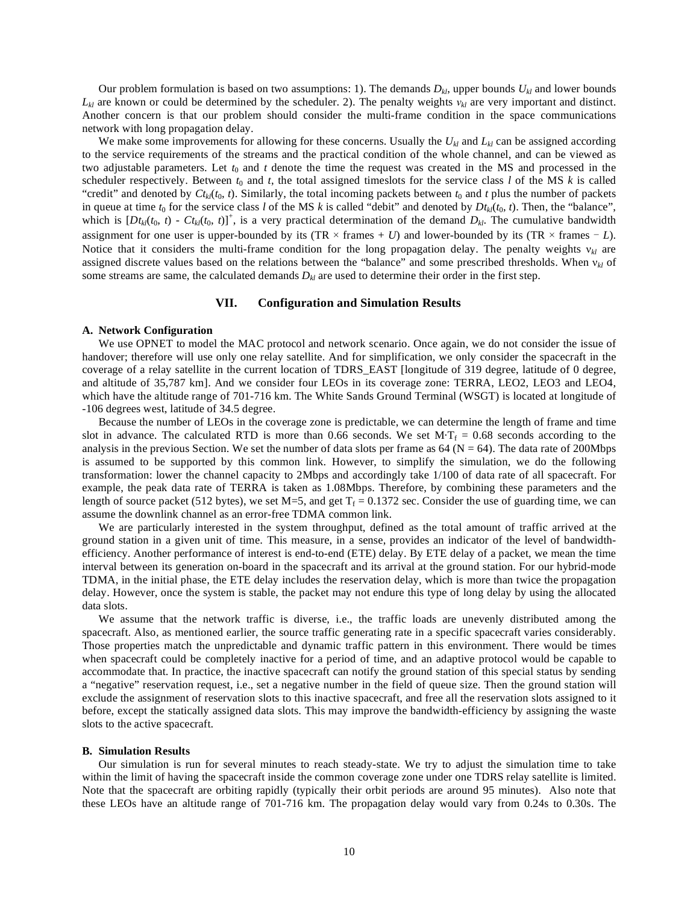Our problem formulation is based on two assumptions: 1). The demands  $D_{kl}$ , upper bounds  $U_{kl}$  and lower bounds  $L_{kl}$  are known or could be determined by the scheduler. 2). The penalty weights  $v_{kl}$  are very important and distinct. Another concern is that our problem should consider the multi-frame condition in the space communications network with long propagation delay.

We make some improvements for allowing for these concerns. Usually the  $U_{kl}$  and  $L_{kl}$  can be assigned according to the service requirements of the streams and the practical condition of the whole channel, and can be viewed as two adjustable parameters. Let  $t_0$  and  $t$  denote the time the request was created in the MS and processed in the scheduler respectively. Between  $t_0$  and  $t$ , the total assigned timeslots for the service class  $l$  of the MS  $k$  is called "credit" and denoted by  $C_{tkl}(t_0, t)$ . Similarly, the total incoming packets between  $t_0$  and  $t$  plus the number of packets in queue at time  $t_0$  for the service class *l* of the MS *k* is called "debit" and denoted by  $Dt_k(t_0, t)$ . Then, the "balance", which is  $[Dt_{kl}(t_0, t) - Ct_{kl}(t_0, t)]^+$ , is a very practical determination of the demand  $D_{kl}$ . The cumulative bandwidth assignment for one user is upper-bounded by its  $(TR \times frames + U)$  and lower-bounded by its  $(TR \times frames - L)$ . Notice that it considers the multi-frame condition for the long propagation delay. The penalty weights  $v_{kl}$  are assigned discrete values based on the relations between the "balance" and some prescribed thresholds. When  $v_{kl}$  of some streams are same, the calculated demands  $D_{kl}$  are used to determine their order in the first step.

## **VII. Configuration and Simulation Results**

#### **A. Network Configuration**

We use OPNET to model the MAC protocol and network scenario. Once again, we do not consider the issue of handover; therefore will use only one relay satellite. And for simplification, we only consider the spacecraft in the coverage of a relay satellite in the current location of TDRS\_EAST [longitude of 319 degree, latitude of 0 degree, and altitude of 35,787 km]. And we consider four LEOs in its coverage zone: TERRA, LEO2, LEO3 and LEO4, which have the altitude range of 701-716 km. The White Sands Ground Terminal (WSGT) is located at longitude of -106 degrees west, latitude of 34.5 degree.

Because the number of LEOs in the coverage zone is predictable, we can determine the length of frame and time slot in advance. The calculated RTD is more than 0.66 seconds. We set  $M \cdot T_f = 0.68$  seconds according to the analysis in the previous Section. We set the number of data slots per frame as 64 ( $N = 64$ ). The data rate of 200Mbps is assumed to be supported by this common link. However, to simplify the simulation, we do the following transformation: lower the channel capacity to 2Mbps and accordingly take 1/100 of data rate of all spacecraft. For example, the peak data rate of TERRA is taken as 1.08Mbps. Therefore, by combining these parameters and the length of source packet (512 bytes), we set M=5, and get  $T_f = 0.1372$  sec. Consider the use of guarding time, we can assume the downlink channel as an error-free TDMA common link.

We are particularly interested in the system throughput, defined as the total amount of traffic arrived at the ground station in a given unit of time. This measure, in a sense, provides an indicator of the level of bandwidthefficiency. Another performance of interest is end-to-end (ETE) delay. By ETE delay of a packet, we mean the time interval between its generation on-board in the spacecraft and its arrival at the ground station. For our hybrid-mode TDMA, in the initial phase, the ETE delay includes the reservation delay, which is more than twice the propagation delay. However, once the system is stable, the packet may not endure this type of long delay by using the allocated data slots.

We assume that the network traffic is diverse, i.e., the traffic loads are unevenly distributed among the spacecraft. Also, as mentioned earlier, the source traffic generating rate in a specific spacecraft varies considerably. Those properties match the unpredictable and dynamic traffic pattern in this environment. There would be times when spacecraft could be completely inactive for a period of time, and an adaptive protocol would be capable to accommodate that. In practice, the inactive spacecraft can notify the ground station of this special status by sending a "negative" reservation request, i.e., set a negative number in the field of queue size. Then the ground station will exclude the assignment of reservation slots to this inactive spacecraft, and free all the reservation slots assigned to it before, except the statically assigned data slots. This may improve the bandwidth-efficiency by assigning the waste slots to the active spacecraft.

#### **B. Simulation Results**

Our simulation is run for several minutes to reach steady-state. We try to adjust the simulation time to take within the limit of having the spacecraft inside the common coverage zone under one TDRS relay satellite is limited. Note that the spacecraft are orbiting rapidly (typically their orbit periods are around 95 minutes). Also note that these LEOs have an altitude range of 701-716 km. The propagation delay would vary from 0.24s to 0.30s. The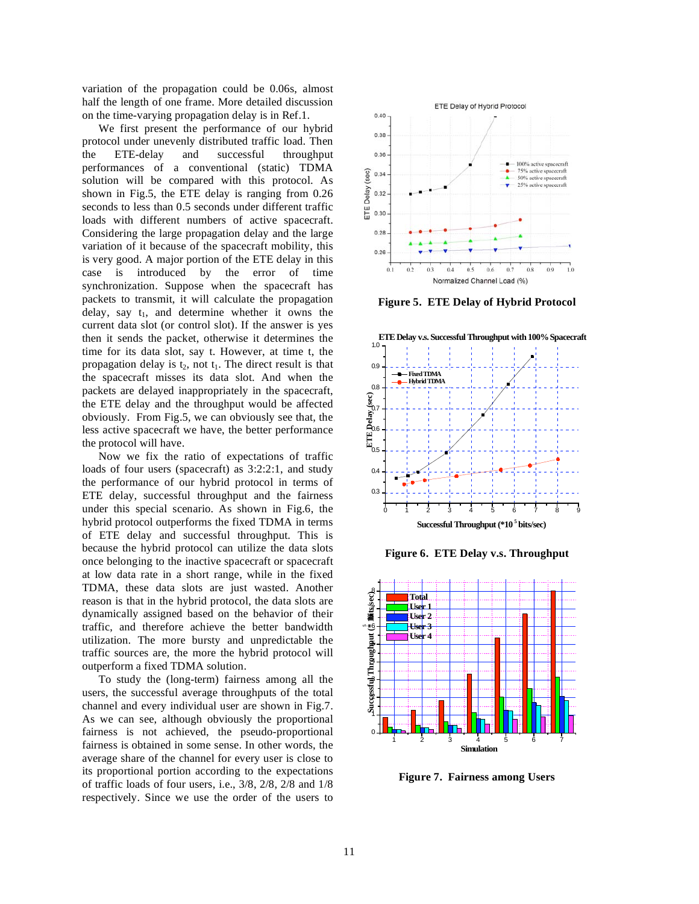variation of the propagation could be 0.06s, almost half the length of one frame. More detailed discussion on the time-varying propagation delay is in Ref.1.

We first present the performance of our hybrid protocol under unevenly distributed traffic load. Then the ETE-delay and successful throughput performances of a conventional (static) TDMA solution will be compared with this protocol. As shown in Fig.5, the ETE delay is ranging from 0.26 seconds to less than 0.5 seconds under different traffic loads with different numbers of active spacecraft. Considering the large propagation delay and the large variation of it because of the spacecraft mobility, this is very good. A major portion of the ETE delay in this case is introduced by the error of time synchronization. Suppose when the spacecraft has packets to transmit, it will calculate the propagation delay, say  $t_1$ , and determine whether it owns the current data slot (or control slot). If the answer is yes then it sends the packet, otherwise it determines the time for its data slot, say t. However, at time t, the propagation delay is  $t_2$ , not  $t_1$ . The direct result is that the spacecraft misses its data slot. And when the packets are delayed inappropriately in the spacecraft, the ETE delay and the throughput would be affected obviously. From Fig.5, we can obviously see that, the less active spacecraft we have, the better performance the protocol will have.

Now we fix the ratio of expectations of traffic loads of four users (spacecraft) as 3:2:2:1, and study the performance of our hybrid protocol in terms of ETE delay, successful throughput and the fairness under this special scenario. As shown in Fig.6, the hybrid protocol outperforms the fixed TDMA in terms of ETE delay and successful throughput. This is because the hybrid protocol can utilize the data slots once belonging to the inactive spacecraft or spacecraft at low data rate in a short range, while in the fixed TDMA, these data slots are just wasted. Another reason is that in the hybrid protocol, the data slots are dynamically assigned based on the behavior of their traffic, and therefore achieve the better bandwidth utilization. The more bursty and unpredictable the traffic sources are, the more the hybrid protocol will outperform a fixed TDMA solution.

To study the (long-term) fairness among all the users, the successful average throughputs of the total channel and every individual user are shown in Fig.7. As we can see, although obviously the proportional fairness is not achieved, the pseudo-proportional fairness is obtained in some sense. In other words, the average share of the channel for every user is close to its proportional portion according to the expectations of traffic loads of four users, i.e., 3/8, 2/8, 2/8 and 1/8 respectively. Since we use the order of the users to



**Figure 5. ETE Delay of Hybrid Protocol** 



**Figure 6. ETE Delay v.s. Throughput** 



**Figure 7. Fairness among Users**